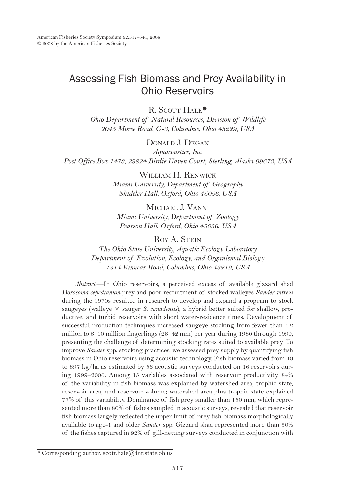# Assessing Fish Biomass and Prey Availability in Ohio Reservoirs

R. SCOTT HALE\*

*Ohio Department of Natural Resources, Division of Wildlife 2045 Morse Road, G-3, Columbus, Ohio 43229, USA*

Donald J. Degan

*Aquacoustics, Inc. Post Office Box 1473, 29824 Birdie Haven Court, Sterling, Alaska 99672, USA*

> WILLIAM H. RENWICK *Miami University, Department of Geography Shideler Hall, Oxford, Ohio 45056, USA*

Michael J. Vanni *Miami University, Department of Zoology Pearson Hall, Oxford, Ohio 45056, USA*

Roy A. STEIN

*The Ohio State University, Aquatic Ecology Laboratory Department of Evolution, Ecology, and Organismal Biology 1314 Kinnear Road, Columbus, Ohio 43212, USA*

*Abstract*.—In Ohio reservoirs, a perceived excess of available gizzard shad *Dorosoma cepedianum* prey and poor recruitment of stocked walleyes *Sander vitreus* during the 1970s resulted in research to develop and expand a program to stock saugeyes (walleye  $\times$  sauger *S. canadensis*), a hybrid better suited for shallow, productive, and turbid reservoirs with short water-residence times. Development of successful production techniques increased saugeye stocking from fewer than 1.2 million to 6–10 million fingerlings (28–42 mm) per year during 1980 through 1990, presenting the challenge of determining stocking rates suited to available prey. To improve *Sander* spp. stocking practices, we assessed prey supply by quantifying fish biomass in Ohio reservoirs using acoustic technology. Fish biomass varied from 10 to 897 kg/ha as estimated by 53 acoustic surveys conducted on 16 reservoirs during 1999–2006. Among 15 variables associated with reservoir productivity, 84% of the variability in fish biomass was explained by watershed area, trophic state, reservoir area, and reservoir volume; watershed area plus trophic state explained 77% of this variability. Dominance of fish prey smaller than 150 mm, which represented more than 80% of fishes sampled in acoustic surveys, revealed that reservoir fish biomass largely reflected the upper limit of prey fish biomass morphologically available to age-1 and older *Sander* spp. Gizzard shad represented more than 50% of the fishes captured in 92% of gill-netting surveys conducted in conjunction with

<sup>\*</sup> Corresponding author: scott.hale@dnr.state.oh.us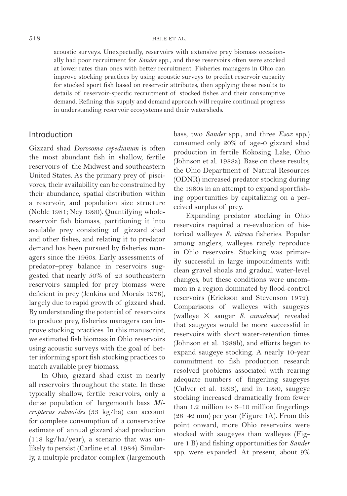acoustic surveys. Unexpectedly, reservoirs with extensive prey biomass occasionally had poor recruitment for *Sander* spp., and these reservoirs often were stocked at lower rates than ones with better recruitment. Fisheries managers in Ohio can improve stocking practices by using acoustic surveys to predict reservoir capacity for stocked sport fish based on reservoir attributes, then applying these results to details of reservoir-specific recruitment of stocked fishes and their consumptive demand. Refining this supply and demand approach will require continual progress in understanding reservoir ecosystems and their watersheds.

# Introduction

Gizzard shad *Dorosoma cepedianum* is often the most abundant fish in shallow, fertile reservoirs of the Midwest and southeastern United States. As the primary prey of piscivores, their availability can be constrained by their abundance, spatial distribution within a reservoir, and population size structure (Noble 1981; Ney 1990). Quantifying wholereservoir fish biomass, partitioning it into available prey consisting of gizzard shad and other fishes, and relating it to predator demand has been pursued by fisheries managers since the 1960s. Early assessments of predator–prey balance in reservoirs suggested that nearly 50% of 23 southeastern reservoirs sampled for prey biomass were deficient in prey (Jenkins and Morais 1978), largely due to rapid growth of gizzard shad. By understanding the potential of reservoirs to produce prey, fisheries managers can improve stocking practices. In this manuscript, we estimated fish biomass in Ohio reservoirs using acoustic surveys with the goal of better informing sport fish stocking practices to match available prey biomass.

In Ohio, gizzard shad exist in nearly all reservoirs throughout the state. In these typically shallow, fertile reservoirs, only a dense population of largemouth bass *Micropterus salmoides* (33 kg/ha) can account for complete consumption of a conservative estimate of annual gizzard shad production (118 kg/ha/year), a scenario that was unlikely to persist (Carline et al. 1984). Similarly, a multiple predator complex (largemouth bass, two *Sander* spp., and three *Esox* spp.) consumed only 20% of age-0 gizzard shad production in fertile Kokosing Lake, Ohio (Johnson et al. 1988a). Base on these results, the Ohio Department of Natural Resources (ODNR) increased predator stocking during the 1980s in an attempt to expand sportfishing opportunities by capitalizing on a perceived surplus of prey.

Expanding predator stocking in Ohio reservoirs required a re-evaluation of historical walleyes *S. vitreus* fisheries. Popular among anglers, walleyes rarely reproduce in Ohio reservoirs. Stocking was primarily successful in large impoundments with clean gravel shoals and gradual water-level changes, but these conditions were uncommon in a region dominated by flood-control reservoirs (Erickson and Stevenson 1972). Comparisons of walleyes with saugeyes (walleye 3 sauger *S. canadense*) revealed that saugeyes would be more successful in reservoirs with short water-retention times (Johnson et al. 1988b), and efforts began to expand saugeye stocking. A nearly 10-year commitment to fish production research resolved problems associated with rearing adequate numbers of fingerling saugeyes (Culver et al. 1993), and in 1990, saugeye stocking increased dramatically from fewer than 1.2 million to 6–10 million fingerlings (28–42 mm) per year (Figure 1A). From this point onward, more Ohio reservoirs were stocked with saugeyes than walleyes (Figure 1 B) and fishing opportunities for *Sander* spp. were expanded. At present, about 9%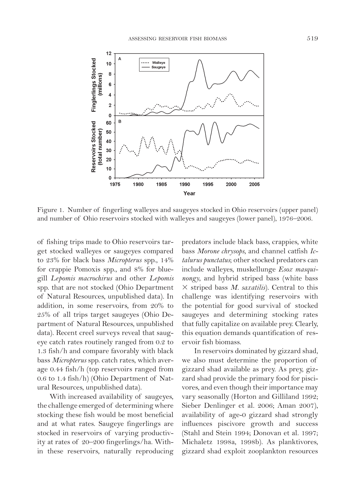

Figure 1. Number of fingerling walleyes and saugeyes stocked in Ohio reservoirs (upper panel) and number of Ohio reservoirs stocked with walleyes and saugeyes (lower panel), 1976–2006.

of fishing trips made to Ohio reservoirs target stocked walleyes or saugeyes compared to 23% for black bass *Micropterus* spp., 14% for crappie Pomoxis spp., and 8% for bluegill *Lepomis macrochirus* and other *Lepomis* spp. that are not stocked (Ohio Department of Natural Resources, unpublished data). In addition, in some reservoirs, from 20% to 25% of all trips target saugeyes (Ohio Department of Natural Resources, unpublished data). Recent creel surveys reveal that saugeye catch rates routinely ranged from 0.2 to 1.3 fish/h and compare favorably with black bass *Micropterus* spp. catch rates, which average 0.44 fish/h (top reservoirs ranged from 0.6 to 1.4 fish/h) (Ohio Department of Natural Resources, unpublished data).

With increased availability of saugeyes, the challenge emerged of determining where stocking these fish would be most beneficial and at what rates. Saugeye fingerlings are stocked in reservoirs of varying productivity at rates of 20–200 fingerlings/ha. Within these reservoirs, naturally reproducing predators include black bass, crappies, white bass *Morone chrysops*, and channel catfish *Ictalurus punctatus*; other stocked predators can include walleyes, muskellunge *Esox masquinongy*, and hybrid striped bass (white bass 3 striped bass *M. saxatilis*). Central to this challenge was identifying reservoirs with the potential for good survival of stocked saugeyes and determining stocking rates that fully capitalize on available prey. Clearly, this equation demands quantification of reservoir fish biomass.

In reservoirs dominated by gizzard shad, we also must determine the proportion of gizzard shad available as prey. As prey, gizzard shad provide the primary food for piscivores, and even though their importance may vary seasonally (Horton and Gilliland 1992; Sieber Denlinger et al. 2006; Aman 2007), availability of age-0 gizzard shad strongly influences piscivore growth and success (Stahl and Stein 1994; Donovan et al. 1997; Michaletz 1998a, 1998b). As planktivores, gizzard shad exploit zooplankton resources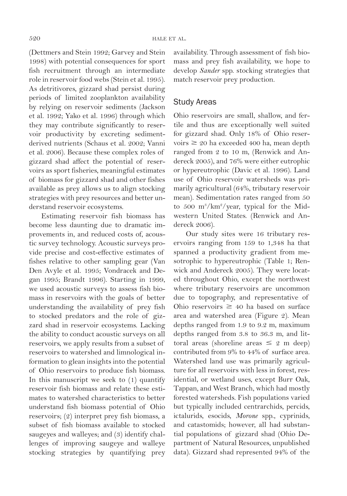(Dettmers and Stein 1992; Garvey and Stein 1998) with potential consequences for sport fish recruitment through an intermediate role in reservoir food webs (Stein et al. 1995). As detritivores, gizzard shad persist during periods of limited zooplankton availability by relying on reservoir sediments (Jackson et al. 1992; Yako et al. 1996) through which they may contribute significantly to reservoir productivity by excreting sedimentderived nutrients (Schaus et al. 2002; Vanni et al. 2006). Because these complex roles of gizzard shad affect the potential of reservoirs as sport fisheries, meaningful estimates of biomass for gizzard shad and other fishes available as prey allows us to align stocking strategies with prey resources and better understand reservoir ecosystems.

Estimating reservoir fish biomass has become less daunting due to dramatic improvements in, and reduced costs of, acoustic survey technology. Acoustic surveys provide precise and cost-effective estimates of fishes relative to other sampling gear (Van Den Avyle et al. 1995; Vondracek and Degan 1995; Brandt 1996). Starting in 1999, we used acoustic surveys to assess fish biomass in reservoirs with the goals of better understanding the availability of prey fish to stocked predators and the role of gizzard shad in reservoir ecosystems. Lacking the ability to conduct acoustic surveys on all reservoirs, we apply results from a subset of reservoirs to watershed and limnological information to glean insights into the potential of Ohio reservoirs to produce fish biomass. In this manuscript we seek to (1) quantify reservoir fish biomass and relate these estimates to watershed characteristics to better understand fish biomass potential of Ohio reservoirs; (2) interpret prey fish biomass, a subset of fish biomass available to stocked saugeyes and walleyes; and (3) identify challenges of improving saugeye and walleye stocking strategies by quantifying prey availability. Through assessment of fish biomass and prey fish availability, we hope to develop *Sander* spp. stocking strategies that match reservoir prey production.

# Study Areas

Ohio reservoirs are small, shallow, and fertile and thus are exceptionally well suited for gizzard shad. Only 18% of Ohio reservoirs  $\geq 20$  ha exceeded 400 ha, mean depth ranged from 2 to 10 m, (Renwick and Andereck 2005), and 76% were either eutrophic or hypereutrophic (Davic et al. 1996). Land use of Ohio reservoir watersheds was primarily agricultural (64%, tributary reservoir mean). Sedimentation rates ranged from 50 to 500 m<sup>3</sup>/km<sup>2</sup>/year, typical for the Midwestern United States. (Renwick and Andereck 2006).

Our study sites were 16 tributary reservoirs ranging from 159 to 1,348 ha that spanned a productivity gradient from mesotrophic to hypereutrophic (Table 1; Renwick and Andereck 2005). They were located throughout Ohio, except the northwest where tributary reservoirs are uncommon due to topography, and representative of Ohio reservoirs  $\geq$  40 ha based on surface area and watershed area (Figure 2). Mean depths ranged from 1.9 to 9.2 m, maximum depths ranged from 3.8 to 36.3 m, and littoral areas (shoreline areas  $\leq 2$  m deep) contributed from 9% to 44% of surface area. Watershed land use was primarily agriculture for all reservoirs with less in forest, residential, or wetland uses, except Burr Oak, Tappan, and West Branch, which had mostly forested watersheds. Fish populations varied but typically included centrarchids, percids, ictalurids, esocids, *Morone* spp., cyprinids, and catastomids; however, all had substantial populations of gizzard shad (Ohio Department of Natural Resources, unpublished data). Gizzard shad represented 94% of the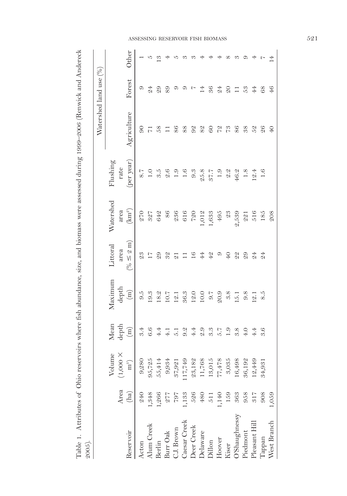| I                                                                                               |             |
|-------------------------------------------------------------------------------------------------|-------------|
|                                                                                                 |             |
|                                                                                                 |             |
|                                                                                                 |             |
|                                                                                                 |             |
|                                                                                                 |             |
| í                                                                                               |             |
| )                                                                                               |             |
| $\ddot{\phantom{a}}$                                                                            |             |
|                                                                                                 |             |
|                                                                                                 |             |
|                                                                                                 |             |
|                                                                                                 |             |
|                                                                                                 |             |
| ֚֚֚֡                                                                                            |             |
|                                                                                                 |             |
|                                                                                                 |             |
|                                                                                                 |             |
|                                                                                                 |             |
|                                                                                                 |             |
| $\frac{2}{5}$                                                                                   |             |
| ृ                                                                                               |             |
|                                                                                                 |             |
| i<br>C                                                                                          |             |
|                                                                                                 |             |
| しょく                                                                                             |             |
|                                                                                                 |             |
|                                                                                                 |             |
|                                                                                                 |             |
|                                                                                                 |             |
|                                                                                                 |             |
| $\ddot{\phantom{a}}$                                                                            |             |
|                                                                                                 |             |
| $\frac{1}{1}$                                                                                   |             |
| ֚֓                                                                                              |             |
| $\ddot{\phantom{0}}$                                                                            |             |
|                                                                                                 |             |
| $\frac{1}{2}$                                                                                   |             |
| $\frac{5}{2}$                                                                                   |             |
| ١                                                                                               |             |
|                                                                                                 |             |
| ֦֧֦֧ׅ֦֧ׅ֪֧ׅ֧֧ׅ֧֧ׅ֧֧֧ׅ֪֧֪ׅ֪֛֪֪֪֪֪֪֪֪֪֪ׅ֚֚֚֚֚֚֚֚֚֚֚֚֚֚֚֚֡֕֘֝֬֘֝֬֝֓֝֬֜֓֝֬֝֬֝֬֜֓֝֓֜֓֝֬֜֓֝֬֜֓֝֬֝֬֜֝֬ |             |
| i<br>C                                                                                          |             |
|                                                                                                 |             |
| $\sim$                                                                                          |             |
|                                                                                                 |             |
|                                                                                                 |             |
|                                                                                                 |             |
|                                                                                                 |             |
|                                                                                                 |             |
|                                                                                                 |             |
|                                                                                                 |             |
|                                                                                                 |             |
| Table 1. Attributes                                                                             |             |
|                                                                                                 | ì           |
|                                                                                                 | ¢<br>١<br>j |
|                                                                                                 | Ì           |

| ÷hnnz                 |              |                            |                                        |                                                                                                                   |                                 |                                                  |                                                                                                                                                                                                                                                                                                                                                                                                           |                             |                           |          |
|-----------------------|--------------|----------------------------|----------------------------------------|-------------------------------------------------------------------------------------------------------------------|---------------------------------|--------------------------------------------------|-----------------------------------------------------------------------------------------------------------------------------------------------------------------------------------------------------------------------------------------------------------------------------------------------------------------------------------------------------------------------------------------------------------|-----------------------------|---------------------------|----------|
|                       |              |                            |                                        |                                                                                                                   |                                 |                                                  |                                                                                                                                                                                                                                                                                                                                                                                                           |                             | Watershed land use (%)    |          |
|                       |              | Volume                     | Mean<br>depth                          | Maximum                                                                                                           | Littoral                        | Watershed                                        | Flushing                                                                                                                                                                                                                                                                                                                                                                                                  |                             |                           |          |
| Reservoir             | Area<br>(ha) | (1,000)<br>$\mathbf{m}^s)$ | $\binom{m}{m}$                         | $\operatorname{depth}$<br>$\left( \mathrm{m}\right)$                                                              | $(\% \leq 2 \text{ m})$<br>area | area (km²)                                       | (per year)<br>rate                                                                                                                                                                                                                                                                                                                                                                                        | Agriculture                 | Forest                    | Other    |
| Acton                 | <b>240</b>   | 9,280                      |                                        |                                                                                                                   | $\mathcal{Q} \mathcal{Q}$       |                                                  |                                                                                                                                                                                                                                                                                                                                                                                                           | 90                          | G                         |          |
| Alum Creek            | 1,348        | 95,725                     | せんせいけんしょう si ro si co<br>こうせいしつせいこうじょう | 19<br>19 20 21 21 22 30 21 21 32 32 33 4 54 556 767 869 70 31 4 56 70 31 4 56 70 31 56 70 32 53 54 556 767 869 70 |                                 |                                                  | $\begin{array}{cccccccccccccc} \text{S.} & \text{C.} & \text{C.} & \text{C.} & \text{C.} & \text{C.} & \text{C.} & \text{C.} & \text{C.} & \text{C.} \\ \text{S.} & \text{C.} & \text{S.} & \text{S.} & \text{C.} & \text{C.} & \text{C.} & \text{C.} & \text{C.} & \text{C.} \\ \text{S.} & \text{C.} & \text{S.} & \text{S.} & \text{C.} & \text{C.} & \text{S.} & \text{C.} & \text{C.} & \text{C.} &$ |                             | $\overline{24}$           |          |
| Berlin                | 1,266        | 55,414                     |                                        |                                                                                                                   | $\mathcal{Q} \mathcal{Q}$       |                                                  |                                                                                                                                                                                                                                                                                                                                                                                                           | 58                          | $\mathcal{Q} \mathcal{Q}$ | ಲ        |
| Burr Oak              | 277          | 9,934                      |                                        |                                                                                                                   | $\mathcal{S}\mathcal{Q}$        |                                                  |                                                                                                                                                                                                                                                                                                                                                                                                           | $\Box$                      | $\rm 89$                  |          |
| C.J. Brown            | 707          | 37,921                     |                                        |                                                                                                                   | $\overline{2}$ 1                |                                                  |                                                                                                                                                                                                                                                                                                                                                                                                           | 86                          | $\circ$                   | IJ       |
| Caesar Creek          | 1,133        | 17,749                     |                                        |                                                                                                                   |                                 |                                                  |                                                                                                                                                                                                                                                                                                                                                                                                           | 88                          |                           |          |
| Deer Creek            | 526          | $23,182$                   |                                        |                                                                                                                   | 16                              |                                                  |                                                                                                                                                                                                                                                                                                                                                                                                           | $9\%$                       |                           | 9        |
| Delaware              | $480$        | 11,768                     |                                        |                                                                                                                   | 44                              |                                                  |                                                                                                                                                                                                                                                                                                                                                                                                           | $8\ensuremath{\mathcal{Q}}$ | 1404                      | 4        |
| Dillon                | 511          | $13,015$                   |                                        |                                                                                                                   | $4\,$                           |                                                  |                                                                                                                                                                                                                                                                                                                                                                                                           |                             |                           | 4        |
| Hoover                | 1,140        | 77,478                     |                                        |                                                                                                                   | $\circ$                         |                                                  |                                                                                                                                                                                                                                                                                                                                                                                                           | 6072                        |                           | 4        |
| Kiser                 | 159          | $\boldsymbol{3{,}035}$     |                                        |                                                                                                                   | 40                              |                                                  |                                                                                                                                                                                                                                                                                                                                                                                                           |                             | $rac{1}{2}$               | $\infty$ |
| <b>Commando Syssy</b> | 363          | 16,498                     |                                        |                                                                                                                   | $\mathcal{Q} \mathcal{Q}$       | $9,539$<br>$9,539$<br>$221$                      | $46.2$<br>1.8<br>12.4<br>1.6                                                                                                                                                                                                                                                                                                                                                                              | 86                          |                           | 8        |
| Piedmont              | 958          | 36,192                     |                                        |                                                                                                                   | $\overline{29}$                 |                                                  |                                                                                                                                                                                                                                                                                                                                                                                                           | $^{38}$                     | 53                        | $\circ$  |
| Pleasant Hill         | $3\,17$      | 12,449                     | 4.4                                    |                                                                                                                   | $\overline{24}$                 | $\begin{array}{c} 516 \\ 185 \\ 208 \end{array}$ |                                                                                                                                                                                                                                                                                                                                                                                                           | 52                          | $44$                      | 4        |
| Tappan                | 908          | 34,931                     | 3.6                                    |                                                                                                                   | $\mathfrak{A}$                  |                                                  |                                                                                                                                                                                                                                                                                                                                                                                                           | $\overline{6}$              | 68                        | r,       |
| West Branch           | 1,059        |                            |                                        |                                                                                                                   |                                 |                                                  |                                                                                                                                                                                                                                                                                                                                                                                                           | $\mathcal{L}$               | 46                        | Ŧ        |

#### ASSESSING RESERVOIR FISH BIOMASS 521 r s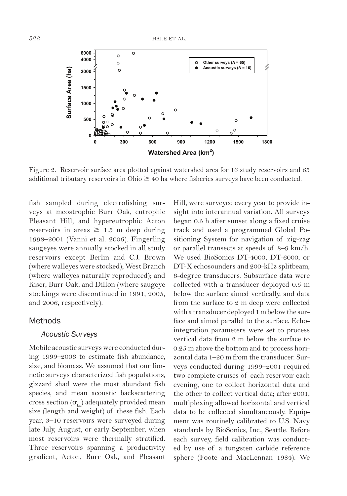

Figure 2. Reservoir surface area plotted against watershed area for 16 study reservoirs and 65 additional tributary reservoirs in Ohio  $\geq$  40 ha where fisheries surveys have been conducted.

fish sampled during electrofishing surveys at meostrophic Burr Oak, eutrophic Pleasant Hill, and hypereutrophic Acton reservoirs in areas  $\geq 1.5$  m deep during 1998–2001 (Vanni et al. 2006). Fingerling saugeyes were annually stocked in all study reservoirs except Berlin and C.J. Brown (where walleyes were stocked); West Branch (where walleyes naturally reproduced); and Kiser, Burr Oak, and Dillon (where saugeye stockings were discontinued in 1991, 2005, and 2006, respectively).

### Methods

# *Acoustic Surveys*

Mobile acoustic surveys were conducted during 1999–2006 to estimate fish abundance, size, and biomass. We assumed that our limnetic surveys characterized fish populations, gizzard shad were the most abundant fish species, and mean acoustic backscattering cross section  $(\sigma_{\text{bs}})$  adequately provided mean size (length and weight) of these fish. Each year, 3–10 reservoirs were surveyed during late July, August, or early September, when most reservoirs were thermally stratified. Three reservoirs spanning a productivity gradient, Acton, Burr Oak, and Pleasant

Hill, were surveyed every year to provide insight into interannual variation. All surveys began 0.5 h after sunset along a fixed cruise track and used a programmed Global Positioning System for navigation of zig-zag or parallel transects at speeds of 8–9 km/h. We used BioSonics DT-4000, DT-6000, or DT-X echosounders and 200-kHz splitbeam, 6-degree transducers. Subsurface data were collected with a transducer deployed 0.5 m below the surface aimed vertically, and data from the surface to 2 m deep were collected with a transducer deployed 1 m below the surface and aimed parallel to the surface. Echointegration parameters were set to process vertical data from 2 m below the surface to 0.25 m above the bottom and to process horizontal data 1–20 m from the transducer. Surveys conducted during 1999–2001 required two complete cruises of each reservoir each evening, one to collect horizontal data and the other to collect vertical data; after 2001, multiplexing allowed horizontal and vertical data to be collected simultaneously. Equipment was routinely calibrated to U.S. Navy standards by BioSonics, Inc., Seattle. Before each survey, field calibration was conducted by use of a tungsten carbide reference sphere (Foote and MacLennan 1984). We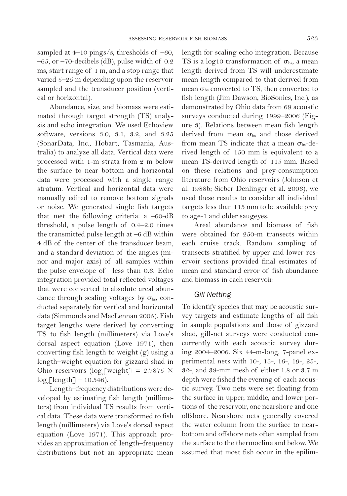Abundance, size, and biomass were estimated through target strength (TS) analysis and echo integration. We used Echoview software, versions 3.0, 3.1, 3.2, and 3.25 (SonarData, Inc., Hobart, Tasmania, Australia) to analyze all data. Vertical data were processed with 1-m strata from 2 m below the surface to near bottom and horizontal data were processed with a single range stratum. Vertical and horizontal data were manually edited to remove bottom signals or noise. We generated single fish targets that met the following criteria:  $a -60-dB$ threshold, a pulse length of 0.4–2.0 times the transmitted pulse length at  $-6$  dB within 4 dB of the center of the transducer beam, and a standard deviation of the angles (minor and major axis) of all samples within the pulse envelope of less than 0.6. Echo integration provided total reflected voltages that were converted to absolute areal abundance through scaling voltages by  $\sigma_{\text{bs}}$ , conducted separately for vertical and horizontal data (Simmonds and MacLennan 2005). Fish target lengths were derived by converting TS to fish length (millimeters) via Love's dorsal aspect equation (Love 1971), then converting fish length to weight (g) using a length–weight equation for gizzard shad in Ohio reservoirs  $(\log_e[\text{weight}] = 2.7875 \times$ log*<sup>e</sup>* [length] – 10.546).

Length–frequency distributions were developed by estimating fish length (millimeters) from individual TS results from vertical data. These data were transformed to fish length (millimeters) via Love's dorsal aspect equation (Love 1971). This approach provides an approximation of length–frequency distributions but not an appropriate mean length for scaling echo integration. Because TS is a log10 transformation of  $\sigma_{\text{bs}}$ , a mean length derived from TS will underestimate mean length compared to that derived from mean  $\sigma_{\text{bs}}$  converted to TS, then converted to fish length (Jim Dawson, BioSonics, Inc.), as demonstrated by Ohio data from 69 acoustic surveys conducted during 1999–2006 (Figure 3). Relations between mean fish length derived from mean  $\sigma_{\text{bs}}$  and those derived from mean TS indicate that a mean  $\sigma_{bs}$ -derived length of 150 mm is equivalent to a mean TS-derived length of 115 mm. Based on these relations and prey-consumption literature from Ohio reservoirs (Johnson et al. 1988b; Sieber Denlinger et al. 2006), we used these results to consider all individual targets less than 115 mm to be available prey to age-1 and older saugeyes.

Areal abundance and biomass of fish were obtained for 250-m transects within each cruise track. Random sampling of transects stratified by upper and lower reservoir sections provided final estimates of mean and standard error of fish abundance and biomass in each reservoir.

### *Gill Netting*

To identify species that may be acoustic survey targets and estimate lengths of all fish in sample populations and those of gizzard shad, gill-net surveys were conducted concurrently with each acoustic survey during 2004–2006. Six 44-m-long, 7-panel experimental nets with 10-, 13-, 16-, 19-, 25-, 32-, and 38-mm mesh of either 1.8 or 3.7 m depth were fished the evening of each acoustic survey. Two nets were set floating from the surface in upper, middle, and lower portions of the reservoir, one nearshore and one offshore. Nearshore nets generally covered the water column from the surface to nearbottom and offshore nets often sampled from the surface to the thermocline and below. We assumed that most fish occur in the epilim-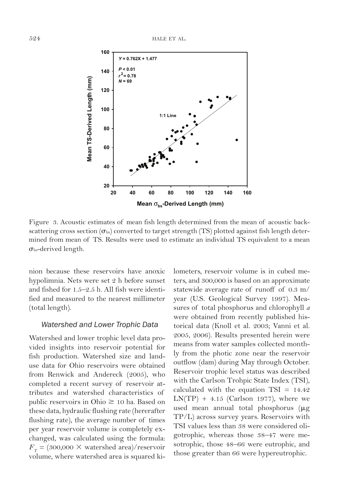

Figure 3. Acoustic estimates of mean fish length determined from the mean of acoustic backscattering cross section ( $\sigma_{bs}$ ) converted to target strength (TS) plotted against fish length determined from mean of TS. Results were used to estimate an individual TS equivalent to a mean  $\sigma_{\rm bs}$ -derived length.

nion because these reservoirs have anoxic hypolimnia. Nets were set 2 h before sunset and fished for 1.5–2.5 h. All fish were identified and measured to the nearest millimeter (total length).

#### *Watershed and Lower Trophic Data*

Watershed and lower trophic level data provided insights into reservoir potential for fish production. Watershed size and landuse data for Ohio reservoirs were obtained from Renwick and Andereck (2005), who completed a recent survey of reservoir attributes and watershed characteristics of public reservoirs in Ohio  $\geq 10$  ha. Based on these data, hydraulic flushing rate (hererafter flushing rate), the average number of times per year reservoir volume is completely exchanged, was calculated using the formula:  $F_T = (300,000 \times \text{watershed area})/\text{reservoir}$ volume, where watershed area is squared kilometers, reservoir volume is in cubed meters, and 300,000 is based on an approximate statewide average rate of runoff of 0.3 m/ year (U.S. Geological Survey 1997). Measures of total phosphorus and chlorophyll *a*  were obtained from recently published historical data (Knoll et al. 2003; Vanni et al. 2005, 2006). Results presented herein were means from water samples collected monthly from the photic zone near the reservoir outflow (dam) during May through October. Reservoir trophic level status was described with the Carlson Trohpic State Index (TSI), calculated with the equation  $TSI = 14.42$  $LN(TP) + 4.15$  (Carlson 1977), where we used mean annual total phosphorus  $(\mu g)$ TP/L) across survey years. Reservoirs with TSI values less than 38 were considered oligotrophic, whereas those 38–47 were mesotrophic, those 48–66 were eutrophic, and those greater than 66 were hypereutrophic.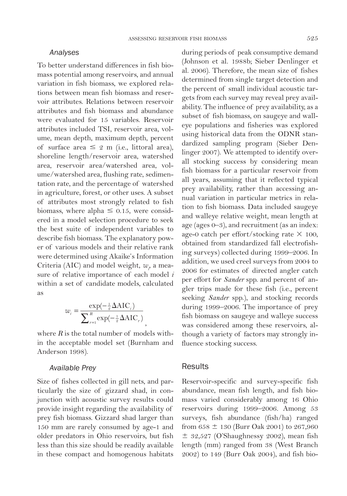#### *Analyses*

To better understand differences in fish biomass potential among reservoirs, and annual variation in fish biomass, we explored relations between mean fish biomass and reservoir attributes. Relations between reservoir attributes and fish biomass and abundance were evaluated for 15 variables. Reservoir attributes included TSI, reservoir area, volume, mean depth, maximum depth, percent of surface area  $\leq 2$  m (i.e., littoral area), shoreline length/reservoir area, watershed area, reservoir area/watershed area, volume/watershed area, flushing rate, sedimentation rate, and the percentage of watershed in agriculture, forest, or other uses. A subset of attributes most strongly related to fish biomass, where alpha  $\leq 0.15$ , were considered in a model selection procedure to seek the best suite of independent variables to describe fish biomass. The explanatory power of various models and their relative rank were determined using Akaike's Information Criteria (AIC) and model weight,  $w_{i}$  a measure of relative importance of each model *i*  within a set of candidate models, calculated as

$$
w_i = \frac{\exp(-\frac{1}{2}\Delta \text{AIC}_i)}{\sum_{r=1}^{R} \exp(-\frac{1}{2}\Delta \text{AIC}_r)},
$$

where  $R$  is the total number of models within the acceptable model set (Burnham and Anderson 1998).

#### *Available Prey*

Size of fishes collected in gill nets, and particularly the size of gizzard shad, in conjunction with acoustic survey results could provide insight regarding the availability of prey fish biomass. Gizzard shad larger than 150 mm are rarely consumed by age-1 and older predators in Ohio reservoirs, but fish less than this size should be readily available in these compact and homogenous habitats during periods of peak consumptive demand (Johnson et al. 1988b; Sieber Denlinger et al. 2006). Therefore, the mean size of fishes determined from single target detection and the percent of small individual acoustic targets from each survey may reveal prey availability. The influence of prey availability, as a subset of fish biomass, on saugeye and walleye populations and fisheries was explored using historical data from the ODNR standardized sampling program (Sieber Denlinger 2007). We attempted to identify overall stocking success by considering mean fish biomass for a particular reservoir from all years, assuming that it reflected typical prey availability, rather than accessing annual variation in particular metrics in relation to fish biomass. Data included saugeye and walleye relative weight, mean length at age (ages 0–3), and recruitment (as an index: age-0 catch per effort/stocking rate  $\times$  100, obtained from standardized fall electrofishing surveys) collected during 1999–2006. In addition, we used creel surveys from 2004 to 2006 for estimates of directed angler catch per effort for *Sander* spp. and percent of angler trips made for these fish (i.e., percent seeking *Sander* spp.), and stocking records during 1999–2006. The importance of prey fish biomass on saugeye and walleye success was considered among these reservoirs, although a variety of factors may strongly influence stocking success.

# **Results**

Reservoir-specific and survey-specific fish abundance, mean fish length, and fish biomass varied considerably among 16 Ohio reservoirs during 1999–2006. Among 53 surveys, fish abundance (fish/ha) ranged from  $658 \pm 130$  (Burr Oak 2001) to 267,960  $\pm$  32,527 (O'Shaughnessy 2002), mean fish length (mm) ranged from 38 (West Branch 2002) to 149 (Burr Oak 2004), and fish bio-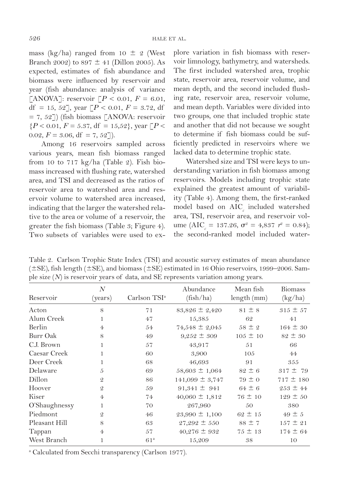mass (kg/ha) ranged from 10  $\pm$  2 (West Branch 2002) to  $897 \pm 41$  (Dillon 2005). As expected, estimates of fish abundance and biomass were influenced by reservoir and year (fish abundance: analysis of variance [ANOVA]: reservoir  $[P < 0.01, F = 6.01,$ df = 15, 52], year  $[P < 0.01, F = 3.72, df$  $= 7, 52$ ]) (fish biomass [ANOVA: reservoir  ${P < 0.01, F = 5.37, df = 15,52}$ , year  ${P <$ 0.02,  $F = 3.06$ , df = 7, 52]).

Among 16 reservoirs sampled across various years, mean fish biomass ranged from 10 to 717 kg/ha (Table 2). Fish biomass increased with flushing rate, watershed area, and TSI and decreased as the ratios of reservoir area to watershed area and reservoir volume to watershed area increased, indicating that the larger the watershed relative to the area or volume of a reservoir, the greater the fish biomass (Table 3; Figure 4). Two subsets of variables were used to explore variation in fish biomass with reservoir limnology, bathymetry, and watersheds. The first included watershed area, trophic state, reservoir area, reservoir volume, and mean depth, and the second included flushing rate, reservoir area, reservoir volume, and mean depth. Variables were divided into two groups, one that included trophic state and another that did not because we sought to determine if fish biomass could be sufficiently predicted in reservoirs where we lacked data to determine trophic state.

Watershed size and TSI were keys to understanding variation in fish biomass among reservoirs. Models including trophic state explained the greatest amount of variability (Table 4). Among them, the first-ranked model based on  $\mathrm{AIC}_c$  included watershed area, TSI, reservoir area, and reservoir volume (AIC<sub>*c*</sub> = 137.26,  $\sigma^2 = 4,837$   $r^2 = 0.84$ ); the second-ranked model included water-

Table 2. Carlson Trophic State Index (TSI) and acoustic survey estimates of mean abundance  $(\pm$ SE), fish length ( $\pm$ SE), and biomass ( $\pm$ SE) estimated in 16 Ohio reservoirs, 1999–2006. Sample size (*N*) is reservoir years of data, and SE represents variation among years.

| Reservoir     | $\overline{N}$<br>(years) | Carlson TSI <sup>a</sup> | Abundance<br>(fish/ha) | Mean fish<br>length (mm) | <b>Biomass</b><br>(kg/ha) |
|---------------|---------------------------|--------------------------|------------------------|--------------------------|---------------------------|
|               |                           |                          |                        |                          |                           |
| Acton         | 8                         | 71                       | $83,826 \pm 2,420$     | $81 \pm 8$               | $315 \pm 57$              |
| Alum Creek    | 1                         | 47                       | 15,385                 | 62                       | 41                        |
| Berlin        | $\overline{4}$            | 54                       | 74,548 $\pm$ 2,045     | $58 \pm 2$               | $164 \pm 30$              |
| Burr Oak      | 8                         | 49                       | $9,252 \pm 309$        | $105 \pm 10$             | $82 \pm 30$               |
| C.J. Brown    |                           | 57                       | 43,917                 | 51                       | 66                        |
| Caesar Creek  |                           | 60                       | 3,900                  | 105                      | 44                        |
| Deer Creek    |                           | 68                       | 46,693                 | 91                       | 355                       |
| Delaware      | 5                         | 69                       | $58,603 \pm 1,064$     | $82 \pm 6$               | $317 \pm 79$              |
| Dillon        | $\mathcal{Q}$             | 86                       | $141,099 \pm 3,747$    | $79 \pm 0$               | $717 \pm 180$             |
| Hoover        | $\mathcal{Q}$             | 59                       | $91,341 \pm 941$       | $64 \pm 6$               | $253 \pm 44$              |
| Kiser         | $\overline{4}$            | 74                       | $40,060 \pm 1,812$     | $76 \pm 10$              | $129 \pm 50$              |
| O'Shaughnessy | 1                         | 70                       | 267,960                | 50                       | 380                       |
| Piedmont      | $\mathcal{Q}$             | 46                       | $23,990 \pm 1,100$     | $62 \pm 15$              | $49 \pm 5$                |
| Pleasant Hill | 8                         | 63                       | $27,292 \pm 550$       | $88 \pm 7$               | $157 \pm 21$              |
| Tappan        | $\overline{4}$            | 57                       | $40,276 \pm 932$       | $75 \pm 13$              | $174 \pm 64$              |
| West Branch   |                           | 61 <sup>a</sup>          | 15,209                 | 38                       | 10                        |

a Calculated from Secchi transparency (Carlson 1977).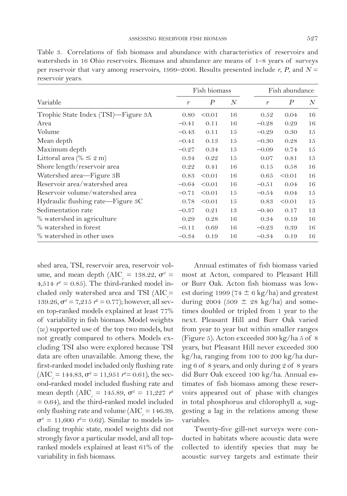Table 3. Correlations of fish biomass and abundance with characteristics of reservoirs and watersheds in 16 Ohio reservoirs. Biomass and abundance are means of 1–8 years of surveys per reservoir that vary among reservoirs, 1999–2006. Results presented include *r*, *P*, and *N* = reservoir years.

|                                     |               | Fish biomass     |    |               | Fish abundance   |    |  |
|-------------------------------------|---------------|------------------|----|---------------|------------------|----|--|
| Variable                            | $\mathcal{V}$ | $\boldsymbol{P}$ | N  | $\mathcal{V}$ | $\boldsymbol{P}$ | N  |  |
| Trophic State Index (TSI)-Figure 3A | 0.80          | < 0.01           | 16 | 0.52          | 0.04             | 16 |  |
| Area                                | $-0.41$       | 0.11             | 16 | $-0.28$       | 0.29             | 16 |  |
| Volume                              | $-0.43$       | 0.11             | 15 | $-0.29$       | 0.30             | 15 |  |
| Mean depth                          | $-0.41$       | 0.13             | 15 | $-0.30$       | 0.28             | 15 |  |
| Maximum depth                       | $-0.27$       | 0.34             | 15 | $-0.09$       | 0.74             | 15 |  |
| Littoral area (% $\leq$ 2 m)        | 0.34          | 0.22             | 15 | 0.07          | 0.81             | 15 |  |
| Shore length/reservoir area         | 0.22          | 0.41             | 16 | 0.15          | 0.58             | 16 |  |
| Watershed area-Figure 3B            | 0.83          | < 0.01           | 16 | 0.65          | < 0.01           | 16 |  |
| Reservoir area/watershed area       | $-0.64$       | < 0.01           | 16 | $-0.51$       | 0.04             | 16 |  |
| Reservoir volume/watershed area     | $-0.71$       | < 0.01           | 15 | $-0.54$       | 0.04             | 15 |  |
| Hydraulic flushing rate-Figure 3C   | 0.78          | < 0.01           | 15 | 0.83          | < 0.01           | 15 |  |
| Sedimentation rate                  | $-0.37$       | 0.21             | 13 | $-0.40$       | 0.17             | 13 |  |
| % watershed in agriculture          | 0.29          | 0.28             | 16 | 0.34          | 0.19             | 16 |  |
| % watershed in forest               | $-0.11$       | 0.69             | 16 | $-0.23$       | 0.39             | 16 |  |
| % watershed in other uses           | $-0.34$       | 0.19             | 16 | $-0.34$       | 0.19             | 16 |  |

shed area, TSI, reservoir area, reservoir volume, and mean depth (AIC<sub>*c*</sub> = 138.22,  $\sigma^2$  = 4,514  $r^2 = 0.85$ ). The third-ranked model included only watershed area and TSI (AIC<sub>c</sub>= 139.26,  $\sigma^2 = 7.215$   $r^2 = 0.77$ ; however, all seven top-ranked models explained at least 77% of variability in fish biomass. Model weights (*wi* ) supported use of the top two models, but not greatly compared to others. Models excluding TSI also were explored because TSI data are often unavailable. Among these, the first-ranked model included only flushing rate  $(AIC<sub>c</sub> = 144.83, \sigma<sup>2</sup> = 11,951 r<sup>2</sup> = 0.61),$  the second-ranked model included flushing rate and mean depth (AIC<sub>*c*</sub> = 145.89,  $\sigma^2 = 11,227$   $r^2$ = 0.64), and the third-ranked model included only flushing rate and volume ( $AIC_c = 146.39$ ,  $\sigma^2 = 11,600$   $r^2 = 0.62$ ). Similar to models including trophic state, model weights did not strongly favor a particular model, and all topranked models explained at least 61% of the variability in fish biomass.

Annual estimates of fish biomass varied most at Acton, compared to Pleasant Hill or Burr Oak. Acton fish biomass was lowest during 1999 (74  $\pm$  6 kg/ha) and greatest during 2004 (509  $\pm$  28 kg/ha) and sometimes doubled or tripled from 1 year to the next. Pleasant Hill and Burr Oak varied from year to year but within smaller ranges (Figure 5). Acton exceeded 300 kg/ha 5 of 8 years, but Pleasant Hill never exceeded 300 kg/ha, ranging from 100 to 200 kg/ha during 6 of 8 years, and only during 2 of 8 years did Burr Oak exceed 100 kg/ha. Annual estimates of fish biomass among these reservoirs appeared out of phase with changes in total phosphorus and chlorophyll *a*, suggesting a lag in the relations among these variables.

Twenty-five gill-net surveys were conducted in habitats where acoustic data were collected to identify species that may be acoustic survey targets and estimate their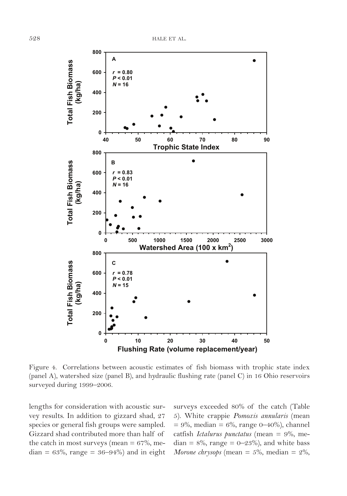

Figure 4. Correlations between acoustic estimates of fish biomass with trophic state index (panel A), watershed size (panel B), and hydraulic flushing rate (panel C) in 16 Ohio reservoirs surveyed during 1999–2006.

lengths for consideration with acoustic survey results. In addition to gizzard shad, 27 species or general fish groups were sampled. Gizzard shad contributed more than half of the catch in most surveys (mean  $= 67\%$ , me $dian = 63\%$ , range =  $36-94\%$  and in eight surveys exceeded 80% of the catch (Table 5). White crappie *Pomoxis annularis* (mean  $= 9\%$ , median  $= 6\%$ , range 0–40%), channel catfish *Ictalurus punctatus* (mean = 9%, median =  $8\%$ , range =  $0\negthinspace -\negthinspace 23\%$ ), and white bass *Morone chrysops* (mean =  $5\%$ , median =  $2\%$ ,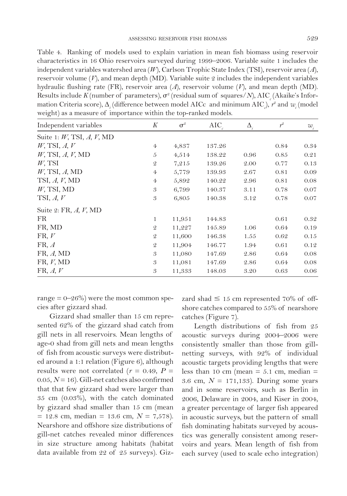Table 4. Ranking of models used to explain variation in mean fish biomass using reservoir characteristics in 16 Ohio reservoirs surveyed during 1999–2006. Variable suite 1 includes the independent variables watershed area (*W*), Carlson Trophic State Index (TSI), reservoir area (*A*), reservoir volume  $(V)$ , and mean depth  $(MD)$ . Variable suite 2 includes the independent variables hydraulic flushing rate (FR), reservoir area (*A*), reservoir volume (*V*), and mean depth (MD).  ${\rm Results~include}$   $K({\rm number~of~parameters}),$   $\sigma^2({\rm residual~sum~of~squares/N}),$   ${\rm AIC}_c({\rm Akaike's~Infor-kas,$ mation Criteria score),  $\Delta_i$  (difference between model AICc and minimum AIC*<sub>c</sub>*),  $r^2$  and  $w_i$  (model weight) as a measure of importance within the top-ranked models.

| Independent variables              | K              | $\sigma^2$ | <b>AIC</b> | $\Delta$ . | $r^2$ | $w_i$ |
|------------------------------------|----------------|------------|------------|------------|-------|-------|
| Suite 1: $W$ , TSI, $A$ , $V$ , MD |                |            |            |            |       |       |
| $W$ , TSI, A, $V$                  | $\overline{4}$ | 4,837      | 137.26     |            | 0.84  | 0.34  |
| $W$ , TSI, $A$ , $V$ , MD          | 5              | 4,514      | 138.22     | 0.96       | 0.85  | 0.21  |
| $W$ , TSI                          | $\mathcal{Q}$  | 7,215      | 139.26     | 2.00       | 0.77  | 0.13  |
| $W$ , TSI, $A$ , MD                | $\overline{4}$ | 5,779      | 139.93     | 2.67       | 0.81  | 0.09  |
| TSI, $A, V$ , MD                   | $\overline{4}$ | 5,892      | 140.22     | 2.96       | 0.81  | 0.08  |
| $W$ , TSI, MD                      | 3              | 6,799      | 140.37     | 3.11       | 0.78  | 0.07  |
| TSI, $A, V$                        | 3              | 6,805      | 140.38     | 3.12       | 0.78  | 0.07  |
| Suite 2: FR, $A, V, MD$            |                |            |            |            |       |       |
| <b>FR</b>                          | $\mathbf{1}$   | 11,951     | 144.83     |            | 0.61  | 0.32  |
| FR, MD                             | $\mathcal{Q}$  | 11,227     | 145.89     | 1.06       | 0.64  | 0.19  |
| FR, V                              | $\mathcal{Q}$  | 11,600     | 146.38     | 1.55       | 0.62  | 0.15  |
| FR, A                              | $\mathcal{Q}$  | 11,904     | 146.77     | 1.94       | 0.61  | 0.12  |
| FR, A, MD                          | 3              | 11,080     | 147.69     | 2.86       | 0.64  | 0.08  |
| FR, V, MD                          | 3              | 11,081     | 147.69     | 2.86       | 0.64  | 0.08  |
| FR, A, V                           | 3              | 11,333     | 148.03     | 3.20       | 0.63  | 0.06  |
|                                    |                |            |            |            |       |       |

range  $= 0 - 26\%)$  were the most common species after gizzard shad.

Gizzard shad smaller than 15 cm represented 62% of the gizzard shad catch from gill nets in all reservoirs. Mean lengths of age-0 shad from gill nets and mean lengths of fish from acoustic surveys were distributed around a 1:1 relation (Figure 6), although results were not correlated ( $r = 0.49$ ,  $P =$ 0.05, *N* = 16). Gill-net catches also confirmed that that few gizzard shad were larger than 35 cm (0.03%), with the catch dominated by gizzard shad smaller than 15 cm (mean  $= 12.8$  cm, median  $= 13.6$  cm,  $N = 7,578$ ). Nearshore and offshore size distributions of gill-net catches revealed minor differences in size structure among habitats (habitat data available from 22 of 25 surveys). Gizzard shad  $\leq 15$  cm represented 70% of offshore catches compared to 55% of nearshore catches (Figure 7).

Length distributions of fish from 25 acoustic surveys during 2004–2006 were consistently smaller than those from gillnetting surveys, with 92% of individual acoustic targets providing lengths that were less than 10 cm (mean  $= 5.1$  cm, median  $=$ 3.6 cm, *N* = 171,133). During some years and in some reservoirs, such as Berlin in 2006, Delaware in 2004, and Kiser in 2004, a greater percentage of larger fish appeared in acoustic surveys, but the pattern of small fish dominating habitats surveyed by acoustics was generally consistent among reservoirs and years. Mean length of fish from each survey (used to scale echo integration)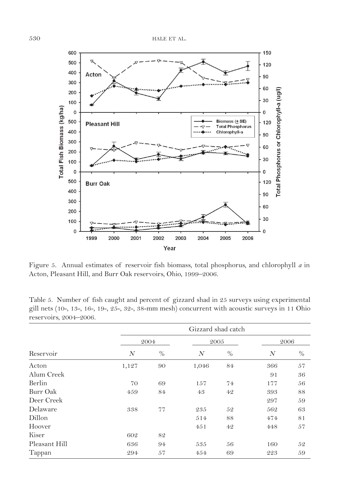

Figure 5. Annual estimates of reservoir fish biomass, total phosphorus, and chlorophyll *a* in Acton, Pleasant Hill, and Burr Oak reservoirs, Ohio, 1999–2006.

Table 5. Number of fish caught and percent of gizzard shad in 25 surveys using experimental gill nets (10-, 13-, 16-, 19-, 25-, 32-, 38-mm mesh) concurrent with acoustic surveys in 11 Ohio reservoirs, 2004–2006.

|               |       | Gizzard shad catch |                |               |                  |               |  |  |  |
|---------------|-------|--------------------|----------------|---------------|------------------|---------------|--|--|--|
|               |       | 2004               | 2005           |               |                  | 2006          |  |  |  |
| Reservoir     | N     | $\%$               | $\overline{N}$ | $\frac{0}{0}$ | $\boldsymbol{N}$ | $\frac{0}{0}$ |  |  |  |
| Acton         | 1,127 | 90                 | 1,046          | 84            | 366              | 57            |  |  |  |
| Alum Creek    |       |                    |                |               | 91               | 36            |  |  |  |
| Berlin        | 70    | 69                 | 157            | 74            | 177              | 56            |  |  |  |
| Burr Oak      | 459   | 84                 | 43             | 42            | 393              | 88            |  |  |  |
| Deer Creek    |       |                    |                |               | 297              | 59            |  |  |  |
| Delaware      | 338   | 77                 | 235            | 52            | 562              | 63            |  |  |  |
| Dillon        |       |                    | 514            | 88            | 474              | 81            |  |  |  |
| Hoover        |       |                    | 451            | 42            | 448              | 57            |  |  |  |
| Kiser         | 602   | 82                 |                |               |                  |               |  |  |  |
| Pleasant Hill | 636   | 94                 | 535            | 56            | 160              | 52            |  |  |  |
| Tappan        | 294   | 57                 | 454            | 69            | 223              | 59            |  |  |  |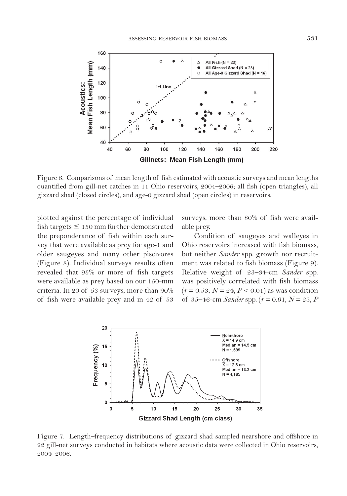

Figure 6. Comparisons of mean length of fish estimated with acoustic surveys and mean lengths quantified from gill-net catches in 11 Ohio reservoirs, 2004–2006; all fish (open triangles), all gizzard shad (closed circles), and age-0 gizzard shad (open circles) in reservoirs.

plotted against the percentage of individual fish targets  $\leq 150$  mm further demonstrated the preponderance of fish within each survey that were available as prey for age-1 and older saugeyes and many other piscivores (Figure 8). Individual surveys results often revealed that 95% or more of fish targets were available as prey based on our 150-mm criteria. In 20 of 53 surveys, more than 90% of fish were available prey and in 42 of 53

surveys, more than 80% of fish were available prey.

Condition of saugeyes and walleyes in Ohio reservoirs increased with fish biomass, but neither *Sander* spp. growth nor recruitment was related to fish biomass (Figure 9). Relative weight of 23–34-cm *Sander* spp. was positively correlated with fish biomass  $(r = 0.53, N = 24, P < 0.01)$  as was condition of 35–46-cm *Sander* spp. ( $r = 0.61$ ,  $N = 23$ , *P* 



Figure 7. Length–frequency distributions of gizzard shad sampled nearshore and offshore in 22 gill-net surveys conducted in habitats where acoustic data were collected in Ohio reservoirs, 2004–2006.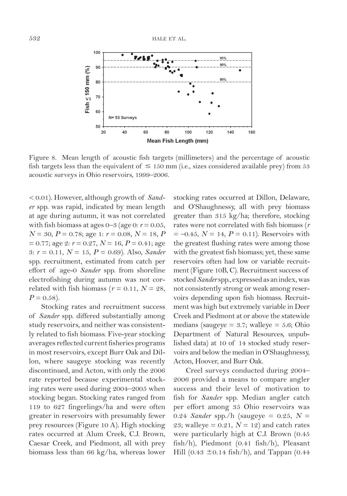

Figure 8. Mean length of acoustic fish targets (millimeters) and the percentage of acoustic fish targets less than the equivalent of  $\leq 150$  mm (i.e., sizes considered available prey) from 53 acoustic surveys in Ohio reservoirs, 1999–2006.

< 0.01). However, although growth of *Sander* spp. was rapid, indicated by mean length at age during autumn, it was not correlated with fish biomass at ages  $0-3$  (age 0:  $r = 0.05$ , *N* = 30, *P* = 0.78; age 1: *r* = 0.08, *N* = 18, *P*  $= 0.77$ ; age 2:  $r = 0.27$ ,  $N = 16$ ,  $P = 0.41$ ; age 3: *r* = 0.11, *N* = 15, *P* = 0.69). Also, *Sander* spp. recruitment, estimated from catch per effort of age-0 *Sander* spp. from shoreline electrofishing during autumn was not correlated with fish biomass ( $r = 0.11$ ,  $N = 28$ ,  $P = 0.58$ ).

Stocking rates and recruitment success of *Sander* spp. differed substantially among study reservoirs, and neither was consistently related to fish biomass. Five-year stocking averages reflected current fisheries programs in most reservoirs, except Burr Oak and Dillon, where saugeye stocking was recently discontinued, and Acton, with only the 2006 rate reported because experimental stocking rates were used during 2004–2005 when stocking began. Stocking rates ranged from 119 to 627 fingerlings/ha and were often greater in reservoirs with presumably fewer prey resources (Figure 10 A). High stocking rates occurred at Alum Creek, C.J. Brown, Caesar Creek, and Piedmont, all with prey biomass less than 66 kg/ha, whereas lower stocking rates occurred at Dillon, Delaware, and O'Shaughnessy, all with prey biomass greater than 315 kg/ha; therefore, stocking rates were not correlated with fish biomass (*r*   $= -0.45$ ,  $N = 14$ ,  $P = 0.11$ ). Reservoirs with the greatest flushing rates were among those with the greatest fish biomass; yet, these same reservoirs often had low or variable recruitment (Figure 10B, C). Recruitment success of stocked *Sander* spp., expressed as an index, was not consistently strong or weak among reservoirs depending upon fish biomass. Recruitment was high but extremely variable in Deer Creek and Piedmont at or above the statewide medians (saugeye =  $3.7$ ; walleye =  $5.6$ ; Ohio Department of Natural Resources, unpublished data) at 10 of 14 stocked study reservoirs and below the median in O'Shaughnessy, Acton, Hoover, and Burr Oak.

Creel surveys conducted during 2004– 2006 provided a means to compare angler success and their level of motivation to fish for *Sander* spp. Median angler catch per effort among 35 Ohio reservoirs was 0.24 *Sander* spp./h (saugeye = 0.25, *N* = 23; walleye =  $0.21$ ,  $N = 12$ ) and catch rates were particularly high at C.J. Brown (0.45 fish/h), Piedmont (0.41 fish/h), Pleasant Hill (0.43  $\pm$ 0.14 fish/h), and Tappan (0.44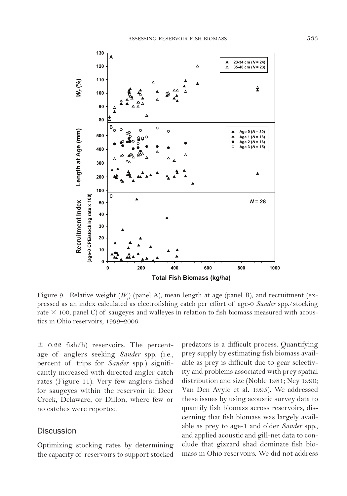

Figure 9. Relative weight  $(W_{\rho})$  (panel A), mean length at age (panel B), and recruitment (expressed as an index calculated as electrofishing catch per effort of age-0 *Sander* spp./stocking rate  $\times$  100, panel C) of saugeyes and walleyes in relation to fish biomass measured with acoustics in Ohio reservoirs, 1999–2006.

 $\pm$  0.22 fish/h) reservoirs. The percentage of anglers seeking *Sander* spp. (i.e., percent of trips for *Sander* spp.) significantly increased with directed angler catch rates (Figure 11). Very few anglers fished for saugeyes within the reservoir in Deer Creek, Delaware, or Dillon, where few or no catches were reported.

# **Discussion**

Optimizing stocking rates by determining the capacity of reservoirs to support stocked predators is a difficult process. Quantifying prey supply by estimating fish biomass available as prey is difficult due to gear selectivity and problems associated with prey spatial distribution and size (Noble 1981; Ney 1990; Van Den Avyle et al. 1995). We addressed these issues by using acoustic survey data to quantify fish biomass across reservoirs, discerning that fish biomass was largely available as prey to age-1 and older *Sander* spp., and applied acoustic and gill-net data to conclude that gizzard shad dominate fish biomass in Ohio reservoirs. We did not address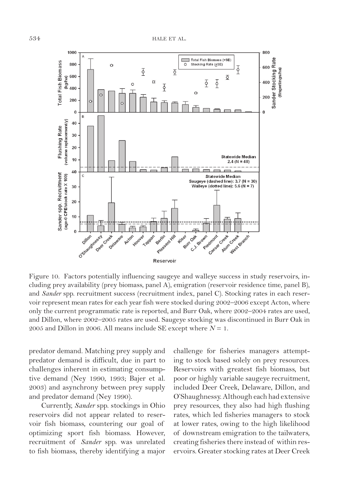

Figure 10. Factors potentially influencing saugeye and walleye success in study reservoirs, including prey availability (prey biomass, panel A), emigration (reservoir residence time, panel B), and *Sander* spp. recruitment success (recruitment index, panel C). Stocking rates in each reservoir represent mean rates for each year fish were stocked during 2002–2006 except Acton, where only the current programmatic rate is reported, and Burr Oak, where 2002–2004 rates are used, and Dillon, where 2002–2005 rates are used. Saugeye stocking was discontinued in Burr Oak in 2005 and Dillon in 2006. All means include SE except where  $N = 1$ .

predator demand. Matching prey supply and predator demand is difficult, due in part to challenges inherent in estimating consumptive demand (Ney 1990, 1993; Bajer et al. 2003) and asynchrony between prey supply and predator demand (Ney 1990).

Currently, *Sander* spp. stockings in Ohio reservoirs did not appear related to reservoir fish biomass, countering our goal of optimizing sport fish biomass. However, recruitment of *Sander* spp. was unrelated to fish biomass, thereby identifying a major challenge for fisheries managers attempting to stock based solely on prey resources. Reservoirs with greatest fish biomass, but poor or highly variable saugeye recruitment, included Deer Creek, Delaware, Dillon, and O'Shaughnessy. Although each had extensive prey resources, they also had high flushing rates, which led fisheries managers to stock at lower rates, owing to the high likelihood of downstream emigration to the tailwaters, creating fisheries there instead of within reservoirs. Greater stocking rates at Deer Creek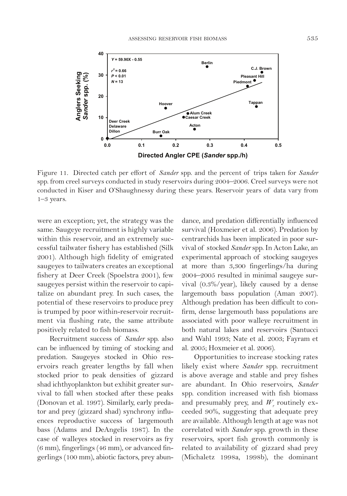

Figure 11. Directed catch per effort of *Sander* spp. and the percent of trips taken for *Sander*  spp. from creel surveys conducted in study reservoirs during 2004–2006. Creel surveys were not conducted in Kiser and O'Shaughnessy during these years. Reservoir years of data vary from 1–3 years.

were an exception; yet, the strategy was the same. Saugeye recruitment is highly variable within this reservoir, and an extremely successful tailwater fishery has established (Silk 2001). Although high fidelity of emigrated saugeyes to tailwaters creates an exceptional fishery at Deer Creek (Spoelstra 2001), few saugeyes persist within the reservoir to capitalize on abundant prey. In such cases, the potential of these reservoirs to produce prey is trumped by poor within-reservoir recruitment via flushing rate, the same attribute positively related to fish biomass.

Recruitment success of *Sander* spp. also can be influenced by timing of stocking and predation. Saugeyes stocked in Ohio reservoirs reach greater lengths by fall when stocked prior to peak densities of gizzard shad ichthyoplankton but exhibit greater survival to fall when stocked after these peaks (Donovan et al. 1997). Similarly, early predator and prey (gizzard shad) synchrony influences reproductive success of largemouth bass (Adams and DeAngelis 1987). In the case of walleyes stocked in reservoirs as fry (6 mm), fingerlings (46 mm), or advanced fingerlings (100 mm), abiotic factors, prey abundance, and predation differentially influenced survival (Hoxmeier et al. 2006). Predation by centrarchids has been implicated in poor survival of stocked *Sander* spp. In Acton Lake, an experimental approach of stocking saugeyes at more than 3,300 fingerlings/ha during 2004–2005 resulted in minimal saugeye survival (0.3%/year), likely caused by a dense largemouth bass population (Aman 2007). Although predation has been difficult to confirm, dense largemouth bass populations are associated with poor walleye recruitment in both natural lakes and reservoirs (Santucci and Wahl 1993; Nate et al. 2003; Fayram et al. 2005; Hoxmeier et al. 2006).

Opportunities to increase stocking rates likely exist where *Sander* spp. recruitment is above average and stable and prey fishes are abundant. In Ohio reservoirs, *Sander*  spp. condition increased with fish biomass and presumably prey, and  $W_r$  routinely exceeded 90%, suggesting that adequate prey are available. Although length at age was not correlated with *Sander* spp. growth in these reservoirs, sport fish growth commonly is related to availability of gizzard shad prey (Michaletz 1998a, 1998b), the dominant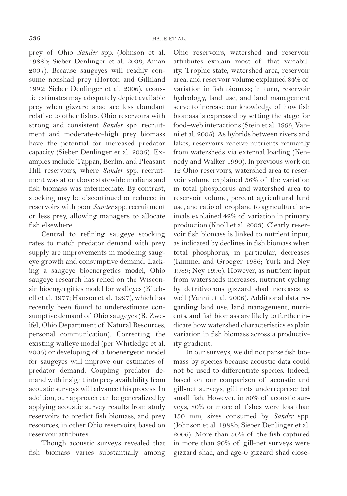prey of Ohio *Sander* spp. (Johnson et al. 1988b; Sieber Denlinger et al. 2006; Aman 2007). Because saugeyes will readily consume nonshad prey (Horton and Gilliland 1992; Sieber Denlinger et al. 2006), acoustic estimates may adequately depict available prey when gizzard shad are less abundant relative to other fishes. Ohio reservoirs with strong and consistent *Sander* spp. recruitment and moderate-to-high prey biomass have the potential for increased predator capacity (Sieber Denlinger et al. 2006). Examples include Tappan, Berlin, and Pleasant Hill reservoirs, where *Sander* spp. recruitment was at or above statewide medians and fish biomass was intermediate. By contrast, stocking may be discontinued or reduced in reservoirs with poor *Sander* spp. recruitment or less prey, allowing managers to allocate fish elsewhere.

Central to refining saugeye stocking rates to match predator demand with prey supply are improvements in modeling saugeye growth and consumptive demand. Lacking a saugeye bioenergetics model, Ohio saugeye research has relied on the Wisconsin bioengergitics model for walleyes (Kitchell et al. 1977; Hanson et al. 1997), which has recently been found to underestimate consumptive demand of Ohio saugeyes (R. Zweifel, Ohio Department of Natural Resources, personal communication). Correcting the existing walleye model (per Whitledge et al. 2006) or developing of a bioenergetic model for saugeyes will improve our estimates of predator demand. Coupling predator demand with insight into prey availability from acoustic surveys will advance this process. In addition, our approach can be generalized by applying acoustic survey results from study reservoirs to predict fish biomass, and prey resources, in other Ohio reservoirs, based on reservoir attributes.

Though acoustic surveys revealed that fish biomass varies substantially among Ohio reservoirs, watershed and reservoir attributes explain most of that variability. Trophic state, watershed area, reservoir area, and reservoir volume explained 84% of variation in fish biomass; in turn, reservoir hydrology, land use, and land management serve to increase our knowledge of how fish biomass is expressed by setting the stage for food–web interactions (Stein et al. 1995; Vanni et al. 2005). As hybrids between rivers and lakes, reservoirs receive nutrients primarily from watersheds via external loading (Kennedy and Walker 1990). In previous work on 12 Ohio reservoirs, watershed area to reservoir volume explained 56% of the variation in total phosphorus and watershed area to reservoir volume, percent agricultural land use, and ratio of cropland to agricultural animals explained 42% of variation in primary production (Knoll et al. 2003). Clearly, reservoir fish biomass is linked to nutrient input, as indicated by declines in fish biomass when total phosphorus, in particular, decreases (Kimmel and Groeger 1986; Yurk and Ney 1989; Ney 1996). However, as nutrient input from watersheds increases, nutrient cycling by detritivorous gizzard shad increases as well (Vanni et al. 2006). Additional data regarding land use, land management, nutrients, and fish biomass are likely to further indicate how watershed characteristics explain variation in fish biomass across a productivity gradient.

In our surveys, we did not parse fish biomass by species because acoustic data could not be used to differentiate species. Indeed, based on our comparison of acoustic and gill-net surveys, gill nets underrepresented small fish. However, in 80% of acoustic surveys, 80% or more of fishes were less than 150 mm, sizes consumed by *Sander* spp. (Johnson et al. 1988b; Sieber Denlinger et al. 2006). More than 50% of the fish captured in more than 90% of gill-net surveys were gizzard shad, and age-0 gizzard shad close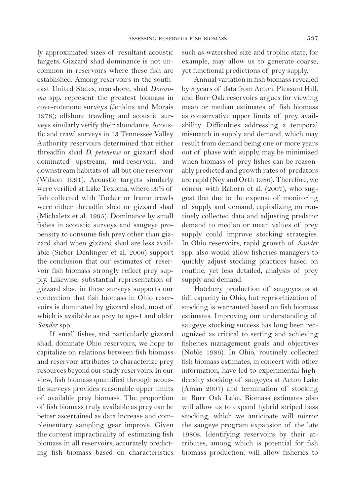ly approximated sizes of resultant acoustic targets. Gizzard shad dominance is not uncommon in reservoirs where these fish are established. Among reservoirs in the southeast United States, nearshore, shad *Dorosoma* spp. represent the greatest biomass in cove-rotenone surveys (Jenkins and Morais 1978); offshore trawling and acoustic surveys similarly verify their abundance. Acoustic and trawl surveys in 13 Tennessee Valley Authority reservoirs determined that either threadfin shad *D. petenense* or gizzard shad dominated upstream, mid-reservoir, and downstream habitats of all but one reservoir (Wilson 1991). Acoustic targets similarly were verified at Lake Texoma, where 99% of fish collected with Tucker or frame trawls were either threadfin shad or gizzard shad (Michaletz et al. 1995). Dominance by small fishes in acoustic surveys and saugeye propensity to consume fish prey other than gizzard shad when gizzard shad are less available (Sieber Denlinger et al. 2006) support the conclusion that our estimates of reservoir fish biomass strongly reflect prey supply. Likewise, substantial representation of gizzard shad in these surveys supports our contention that fish biomass in Ohio reservoirs is dominated by gizzard shad, most of which is available as prey to age-1 and older *Sander* spp.

If small fishes, and particularly gizzard shad, dominate Ohio reservoirs, we hope to capitalize on relations between fish biomass and reservoir attributes to characterize prey resources beyond our study reservoirs. In our view, fish biomass quantified through acoustic surveys provides reasonable upper limits of available prey biomass. The proportion of fish biomass truly available as prey can be better ascertained as data increase and complementary sampling gear improve. Given the current impracticality of estimating fish biomass in all reservoirs, accurately predicting fish biomass based on characteristics such as watershed size and trophic state, for example, may allow us to generate coarse, yet functional predictions of prey supply.

Annual variation in fish biomass revealed by 8 years of data from Acton, Pleasant Hill, and Burr Oak reservoirs argues for viewing mean or median estimates of fish biomass as conservative upper limits of prey availability. Difficulties addressing a temporal mismatch in supply and demand, which may result from demand being one or more years out of phase with supply, may be minimized when biomass of prey fishes can be reasonably predicted and growth rates of predators are rapid (Ney and Orth 1986). Therefore, we concur with Raborn et al. (2007), who suggest that due to the expense of monitoring of supply and demand, capitalizing on routinely collected data and adjusting predator demand to median or mean values of prey supply could improve stocking strategies. In Ohio reservoirs, rapid growth of *Sander*  spp. also would allow fisheries managers to quickly adjust stocking practices based on routine, yet less detailed, analysis of prey supply and demand.

Hatchery production of saugeyes is at full capacity in Ohio, but reprioritization of stocking is warranted based on fish biomass estimates. Improving our understanding of saugeye stocking success has long been recognized as critical to setting and achieving fisheries management goals and objectives (Noble 1986). In Ohio, routinely collected fish biomass estimates, in concert with other information, have led to experimental highdensity stocking of saugeyes at Acton Lake (Aman 2007) and termination of stocking at Burr Oak Lake. Biomass estimates also will allow us to expand hybrid striped bass stocking, which we anticipate will mirror the saugeye program expansion of the late 1980s. Identifying reservoirs by their attributes, among which is potential for fish biomass production, will allow fisheries to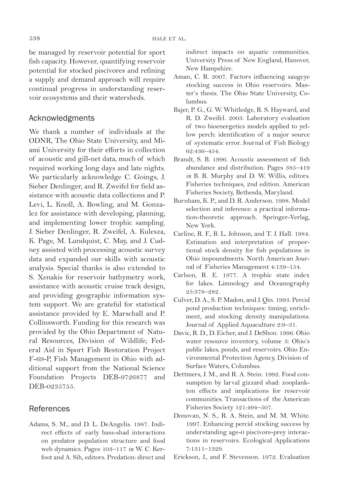be managed by reservoir potential for sport fish capacity. However, quantifying reservoir potential for stocked piscivores and refining a supply and demand approach will require continual progress in understanding reservoir ecosystems and their watersheds.

# Acknowledgments

We thank a number of individuals at the ODNR, The Ohio State University, and Miami University for their efforts in collection of acoustic and gill-net data, much of which required working long days and late nights. We particularly acknowledge C. Goings, J. Sieber Denlinger, and R. Zweifel for field assistance with acoustic data collections and P. Levi, L. Knoll, A. Bowling, and M. Gonzalez for assistance with developing, planning, and implementing lower trophic sampling. J. Sieber Denlinger, R. Zweifel, A. Kulesza, K. Page, M. Lundquist, C. May, and J. Cudney assisted with processing acoustic survey data and expanded our skills with acoustic analysis. Special thanks is also extended to S. Xenakis for reservoir bathymetry work, assistance with acoustic cruise track design, and providing geographic information system support. We are grateful for statistical assistance provided by E. Marschall and P. Collinsworth. Funding for this research was provided by the Ohio Department of Natural Resources, Division of Wildlife; Federal Aid in Sport Fish Restoration Project F-69-P, Fish Management in Ohio with additional support from the National Science Foundation Projects DEB-9726877 and DEB-0235755.

# **References**

Adams, S. M., and D. L. DeAngelis. 1987. Indirect effects of early bass-shad interactions on predator population structure and food web dynamics. Pages 103–117 *in* W. C. Kerfoot and A. Sih, editors. Predation: direct and indirect impacts on aquatic communities. University Press of New England, Hanover, New Hampshire.

- Aman, C. R. 2007. Factors influencing saugeye stocking success in Ohio reservoirs. Master's thesis. The Ohio State University, Columbus.
- Bajer, P. G., G. W. Whitledge, R. S. Hayward, and R. D. Zweifel. 2003. Laboratory evaluation of two bioenergetics models applied to yellow perch: identification of a major source of systematic error. Journal of Fish Biology 62:436–454.
- Brandt, S. B. 1996. Acoustic assessment of fish abundance and distribution. Pages 385–419 *in* B. R. Murphy and D. W. Willis, editors. Fisheries techniques, 2nd edition. American Fisheries Society, Bethesda, Maryland.
- Burnham, K. P., and D. R. Anderson. 1998. Model selection and inference: a practical information-theoretic approach. Springer-Verlag, New York.
- Carline, R. F., B. L. Johnson, and T. J. Hall. 1984. Estimation and interpretation of proportional stock density for fish populations in Ohio impoundments. North American Journal of Fisheries Management 4:139–154.
- Carlson, R. E. 1977. A trophic state index for lakes. Limnology and Oceanography 25:378–282.
- Culver, D. A., S. P. Madon, and J. Qin. 1993. Percid pond production techniques: timing, enrichment, and stocking density manipulations. Journal of Applied Aquaculture 2:9–31.
- Davic, R. D., D. Eicher, and J. DeShon. 1996. Ohio water resource inventory, volume 3: Ohio's public lakes, ponds, and reservoirs. Ohio Environmental Protection Agency, Division of Surface Waters, Columbus.
- Dettmers, J. M., and R. A. Stein. 1992. Food consumption by larval gizzard shad: zooplankton effects and implications for reservoir communities. Transactions of the American Fisheries Society 121:494–507.
- Donovan, N. S., R. A. Stein, and M. M. White. 1997. Enhancing percid stocking success by understanding age-0 piscivore-prey interactions in reservoirs. Ecological Applications 7:1311–1329.
- Erickson, J., and F. Stevenson. 1972. Evaluation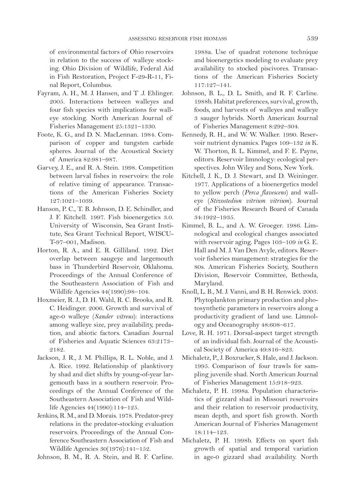of environmental factors of Ohio reservoirs in relation to the success of walleye stocking. Ohio Division of Wildlife, Federal Aid in Fish Restoration, Project F-29-R-11, Final Report, Columbus.

- Fayram, A. H., M. J. Hansen, and T .J. Ehlinger. 2005. Interactions between walleyes and four fish species with implications for walleye stocking. North American Journal of Fisheries Management 25:1321–1330.
- Foote, K. G., and D. N. MacLennan. 1984. Comparison of copper and tungsten carbide spheres. Journal of the Acoustical Society of America 82:981–987.
- Garvey, J. E., and R. A. Stein. 1998. Competition between larval fishes in reservoirs: the role of relative timing of appearance. Transactions of the American Fisheries Society 127:1021–1039.
- Hanson, P. C., T. B. Johnson, D. E. Schindler, and J. F. Kitchell. 1997. Fish bioenergetics 3.0. University of Wisconsin, Sea Grant Institute, Sea Grant Technical Report, WISCU-T-97–001, Madison.
- Horton, R. A., and E. R. Gilliland. 1992. Diet overlap between saugeye and largemouth bass in Thunderbird Reservoir, Oklahoma. Proceedings of the Annual Conference of the Southeastern Association of Fish and Wildlife Agencies 44(1990):98–104.
- Hoxmeier, R. J., D. H. Wahl, R. C. Brooks, and R. C. Heidinger. 2006. Growth and survival of age-0 walleye (*Sander vitreus*): interactions among walleye size, prey availability, predation, and abiotic factors. Canadian Journal of Fisheries and Aquatic Sciences 63:2173– 2182.
- Jackson, J. R., J. M. Phillips, R. L. Noble, and J. A. Rice. 1992. Relationship of planktivory by shad and diet shifts by young-of-year largemouth bass in a southern reservoir. Proceedings of the Annual Conference of the Southeastern Association of Fish and Wildlife Agencies 44(1990):114–125.
- Jenkins, R. M., and D. Morais. 1978. Predator-prey relations in the predator-stocking evaluation reservoirs. Proceedings of the Annual Conference Southeastern Association of Fish and Wildlife Agencies 30(1976):141–152.
- Johnson, B. M., R. A. Stein, and R. F. Carline.

1988a. Use of quadrat rotenone technique and bioenergetics modeling to evaluate prey availability to stocked piscivores. Transactions of the American Fisheries Society 117:127–141.

- Johnson, B. L., D. L. Smith, and R. F. Carline. 1988b. Habitat preferences, survival, growth, foods, and harvests of walleyes and walleye 3 sauger hybrids. North American Journal of Fisheries Management 8:292–304.
- Kennedy, R. H., and W. W. Walker. 1990. Reservoir nutrient dynamics. Pages 109–132 *in* K. W. Thorton, B. L. Kimmel, and F. E. Payne, editors. Reservoir limnology: ecological perspectives. John Wiley and Sons, New York.
- Kitchell, J. K., D. J. Stewart, and D. Weininger. 1977. Applications of a bioenergetics model to yellow perch (*Perca flavescens*) and walleye (*Stizostedion vitrium vitrium*). Journal of the Fisheries Research Board of Canada 34:1922–1935.
- Kimmel, B. L., and A. W. Groeger. 1986. Limnological and ecological changes associated with reservoir aging. Pages 103–109 *in* G. E. Hall and M. J. Van Den Avyle, editors. Reservoir fisheries management: strategies for the 80s. American Fisheries Society, Southern Division, Reservoir Committee, Bethesda, Maryland.
- Knoll, L. B., M. J. Vanni, and B. H. Renwick. 2003. Phytoplankton primary production and photosynthetic parameters in reservoirs along a productivity gradient of land use. Limnology and Oceanography 48:608–617.
- Love, R. H. 1971. Dorsal-aspect target strength of an individual fish. Journal of the Acoustical Society of America 49:816–823.
- Michaletz, P., J. Boxrucker, S. Hale, and J. Jackson. 1995. Comparison of four trawls for sampling juvenile shad. North American Journal of Fisheries Management 15:918–923.
- Michaletz, P. H. 1998a. Population characteristics of gizzard shad in Missouri reservoirs and their relation to reservoir productivity, mean depth, and sport fish growth. North American Journal of Fisheries Management 18:114–123.
- Michaletz, P. H. 1998b. Effects on sport fish growth of spatial and temporal variation in age-0 gizzard shad availability. North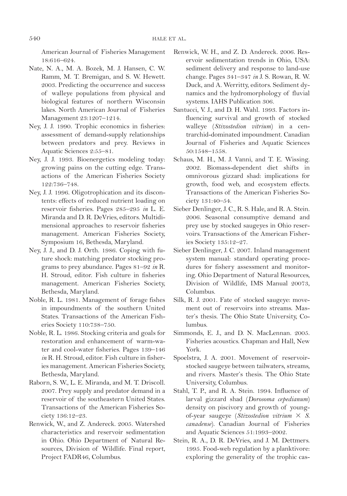American Journal of Fisheries Management 18:616–624.

- Nate, N. A., M. A. Bozek, M. J. Hansen, C. W. Ramm, M. T. Bremigan, and S. W. Hewett. 2003. Predicting the occurrence and success of walleye populations from physical and biological features of northern Wisconsin lakes. North American Journal of Fisheries Management 23:1207–1214.
- Ney, J. J. 1990. Trophic economics in fisheries: assessment of demand-supply relationships between predators and prey. Reviews in Aquatic Sciences 2:55–81.
- Ney, J. J. 1993. Bioenergetics modeling today: growing pains on the cutting edge. Transactions of the American Fisheries Society 122:736–748.
- Ney, J. J. 1996. Oligotrophication and its discontents: effects of reduced nutrient loading on reservoir fisheries. Pages 285–295 *in* L. E. Miranda and D. R. DeVries, editors. Multidimensional approaches to reservoir fisheries management. American Fisheries Society, Symposium 16, Bethesda, Maryland.
- Ney, J. J., and D. J. Orth. 1986. Coping with future shock: matching predator stocking programs to prey abundance. Pages 81–92 *in* R. H. Stroud, editor. Fish culture in fisheries management. American Fisheries Society, Bethesda, Maryland.
- Noble, R. L. 1981. Management of forage fishes in impoundments of the southern United States. Transactions of the American Fisheries Society 110:738–750.
- Noble, R. L. 1986. Stocking criteria and goals for restoration and enhancement of warm-water and cool-water fisheries. Pages 139–146 *in* R. H. Stroud, editor. Fish culture in fisheries management. American Fisheries Society, Bethesda, Maryland.
- Raborn, S. W., L. E. Miranda, and M. T. Driscoll. 2007. Prey supply and predator demand in a reservoir of the southeastern United States. Transactions of the American Fisheries Society 136:12–23.
- Renwick, W., and Z. Andereck. 2005. Watershed characteristics and reservoir sedimentation in Ohio. Ohio Department of Natural Resources, Division of Wildlife. Final report, Project FADR46, Columbus.
- Renwick, W. H., and Z. D. Andereck. 2006. Reservoir sedimentation trends in Ohio, USA: sediment delivery and response to land-use change. Pages 341–347 *in* J. S. Rowan, R. W. Duck, and A. Werritty, editors. Sediment dynamics and the hydromorphology of fluvial systems. IAHS Publication 306.
- Santucci, V. J., and D. H. Wahl. 1993. Factors influencing survival and growth of stocked walleye (*Stizostedion vitrium*) in a centrarchid-dominated impoundment. Canadian Journal of Fisheries and Aquatic Sciences 50:1548–1558.
- Schaus, M. H., M. J. Vanni, and T. E. Wissing. 2002. Biomass-dependent diet shifts in omnivorous gizzard shad: implications for growth, food web, and ecosystem effects. Transactions of the American Fisheries Society 131:40–54.
- Sieber Denlinger, J. C., R. S. Hale, and R. A. Stein. 2006. Seasonal consumptive demand and prey use by stocked saugeyes in Ohio reservoirs. Transactions of the American Fisheries Society 135:12–27.
- Sieber Denlinger, J. C. 2007. Inland management system manual: standard operating procedures for fishery assessment and monitoring. Ohio Department of Natural Resources, Division of Wildlife, IMS Manual 20073, Columbus.
- Silk, R. J. 2001. Fate of stocked saugeye: movement out of reservoirs into streams. Master's thesis. The Ohio State University, Columbus.
- Simmonds, E. J., and D. N. MacLennan. 2005. Fisheries acoustics. Chapman and Hall, New York.
- Spoelstra, J. A. 2001. Movement of reservoirstocked saugeye between tailwaters, streams, and rivers. Master's thesis. The Ohio State University, Columbus.
- Stahl, T. P., and R. A. Stein. 1994. Influence of larval gizzard shad (*Dorosoma cepedianum*) density on piscivory and growth of youngof-year saugeye (*Stizostedion vitrium*  $\times$  *S*. *canadense*). Canadian Journal of Fisheries and Aquatic Sciences 51:1993–2002.
- Stein, R. A., D. R. DeVries, and J. M. Dettmers. 1995. Food-web regulation by a planktivore: exploring the generality of the trophic cas-